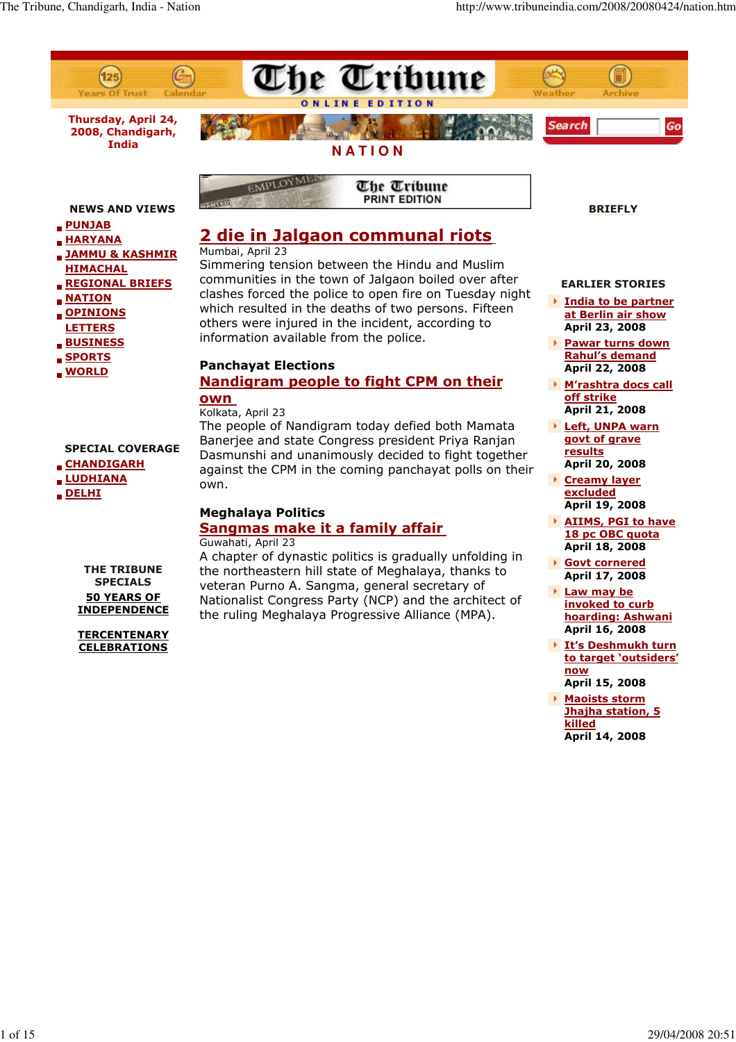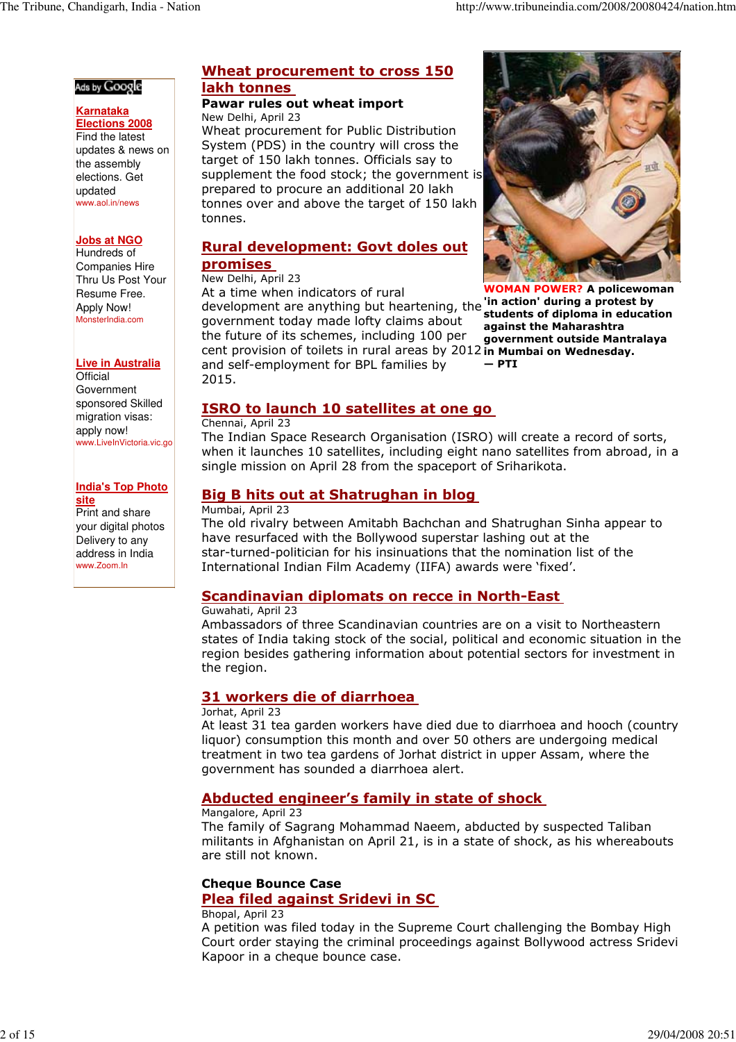### Ads by Google

### **Karnataka**

**Elections 2008** Find the latest updates & news on the assembly elections. Get updated www.aol.in/news

### **Jobs at NGO**

Hundreds of Companies Hire Thru Us Post Your Resume Free. Apply Now! MonsterIndia.com

### **Live in Australia**

**Official** Government sponsored Skilled migration visas: apply now! www.LiveInVictoria.vic.go

#### **India's Top Photo site**

Print and share your digital photos Delivery to any address in India www.Zoom.In

## Wheat procurement to cross 150 lakh tonnes

#### Pawar rules out wheat import New Delhi, April 23

Wheat procurement for Public Distribution System (PDS) in the country will cross the target of 150 lakh tonnes. Officials say to supplement the food stock; the government is prepared to procure an additional 20 lakh tonnes over and above the target of 150 lakh tonnes.

## Rural development: Govt doles out promises

### New Delhi, April 23

development are anything but heartening, the 'in action' during a protest by cent provision of toilets in rural areas by 2012 in Mumbai on Wednesday. At a time when indicators of rural government today made lofty claims about the future of its schemes, including 100 per and self-employment for BPL families by 2015.

## ISRO to launch 10 satellites at one go

### Chennai, April 23

The Indian Space Research Organisation (ISRO) will create a record of sorts, when it launches 10 satellites, including eight nano satellites from abroad, in a single mission on April 28 from the spaceport of Sriharikota.

## Big B hits out at Shatrughan in blog

### Mumbai, April 23

The old rivalry between Amitabh Bachchan and Shatrughan Sinha appear to have resurfaced with the Bollywood superstar lashing out at the star-turned-politician for his insinuations that the nomination list of the International Indian Film Academy (IIFA) awards were 'fixed'.

## Scandinavian diplomats on recce in North-East

### Guwahati, April 23

Ambassadors of three Scandinavian countries are on a visit to Northeastern states of India taking stock of the social, political and economic situation in the region besides gathering information about potential sectors for investment in the region.

## 31 workers die of diarrhoea

### Jorhat, April 23

At least 31 tea garden workers have died due to diarrhoea and hooch (country liquor) consumption this month and over 50 others are undergoing medical treatment in two tea gardens of Jorhat district in upper Assam, where the government has sounded a diarrhoea alert.

## Abducted engineer's family in state of shock

### Mangalore, April 23

The family of Sagrang Mohammad Naeem, abducted by suspected Taliban militants in Afghanistan on April 21, is in a state of shock, as his whereabouts are still not known.

## Cheque Bounce Case

## Plea filed against Sridevi in SC

### Bhopal, April 23

A petition was filed today in the Supreme Court challenging the Bombay High Court order staying the criminal proceedings against Bollywood actress Sridevi Kapoor in a cheque bounce case.



WOMAN POWER? A policewoman students of diploma in education against the Maharashtra government outside Mantralaya  $-$  PTI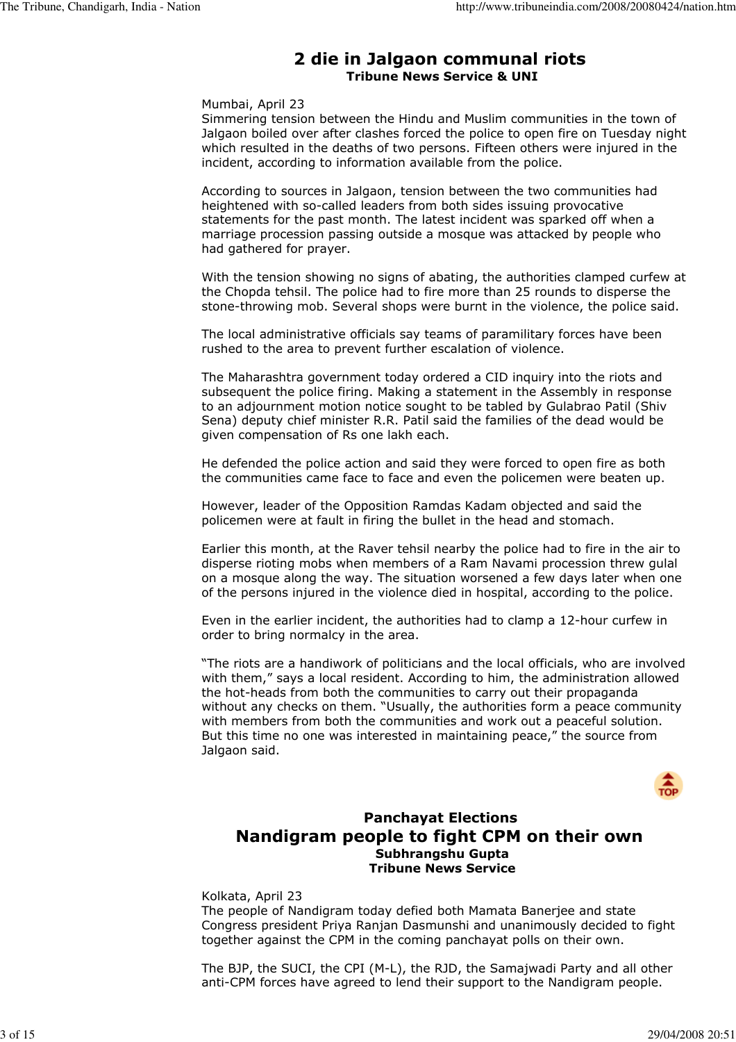## 2 die in Jalgaon communal riots Tribune News Service & UNI

### Mumbai, April 23

Simmering tension between the Hindu and Muslim communities in the town of Jalgaon boiled over after clashes forced the police to open fire on Tuesday night which resulted in the deaths of two persons. Fifteen others were injured in the incident, according to information available from the police.

According to sources in Jalgaon, tension between the two communities had heightened with so-called leaders from both sides issuing provocative statements for the past month. The latest incident was sparked off when a marriage procession passing outside a mosque was attacked by people who had gathered for prayer.

With the tension showing no signs of abating, the authorities clamped curfew at the Chopda tehsil. The police had to fire more than 25 rounds to disperse the stone-throwing mob. Several shops were burnt in the violence, the police said.

The local administrative officials say teams of paramilitary forces have been rushed to the area to prevent further escalation of violence.

The Maharashtra government today ordered a CID inquiry into the riots and subsequent the police firing. Making a statement in the Assembly in response to an adjournment motion notice sought to be tabled by Gulabrao Patil (Shiv Sena) deputy chief minister R.R. Patil said the families of the dead would be given compensation of Rs one lakh each.

He defended the police action and said they were forced to open fire as both the communities came face to face and even the policemen were beaten up.

However, leader of the Opposition Ramdas Kadam objected and said the policemen were at fault in firing the bullet in the head and stomach.

Earlier this month, at the Raver tehsil nearby the police had to fire in the air to disperse rioting mobs when members of a Ram Navami procession threw gulal on a mosque along the way. The situation worsened a few days later when one of the persons injured in the violence died in hospital, according to the police.

Even in the earlier incident, the authorities had to clamp a 12-hour curfew in order to bring normalcy in the area.

"The riots are a handiwork of politicians and the local officials, who are involved with them," says a local resident. According to him, the administration allowed the hot-heads from both the communities to carry out their propaganda without any checks on them. "Usually, the authorities form a peace community with members from both the communities and work out a peaceful solution. But this time no one was interested in maintaining peace," the source from Jalgaon said.



## Panchayat Elections Nandigram people to fight CPM on their own Subhrangshu Gupta Tribune News Service

### Kolkata, April 23

The people of Nandigram today defied both Mamata Banerjee and state Congress president Priya Ranjan Dasmunshi and unanimously decided to fight together against the CPM in the coming panchayat polls on their own.

The BJP, the SUCI, the CPI (M-L), the RJD, the Samajwadi Party and all other anti-CPM forces have agreed to lend their support to the Nandigram people.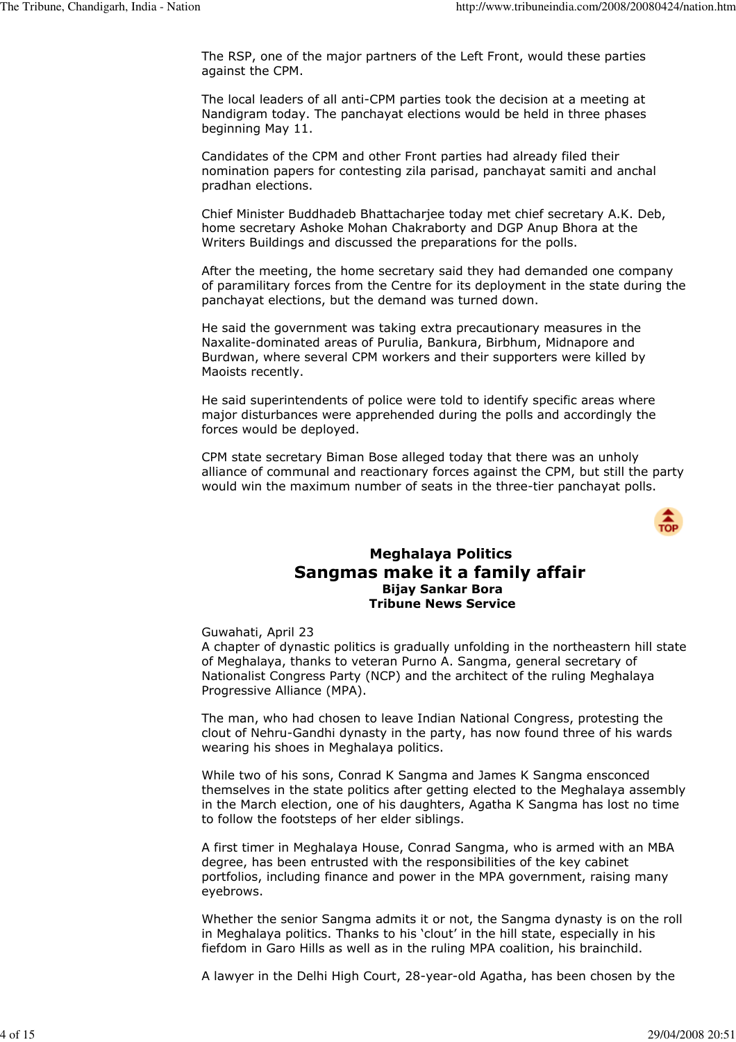The RSP, one of the major partners of the Left Front, would these parties against the CPM.

The local leaders of all anti-CPM parties took the decision at a meeting at Nandigram today. The panchayat elections would be held in three phases beginning May 11.

Candidates of the CPM and other Front parties had already filed their nomination papers for contesting zila parisad, panchayat samiti and anchal pradhan elections.

Chief Minister Buddhadeb Bhattacharjee today met chief secretary A.K. Deb, home secretary Ashoke Mohan Chakraborty and DGP Anup Bhora at the Writers Buildings and discussed the preparations for the polls.

After the meeting, the home secretary said they had demanded one company of paramilitary forces from the Centre for its deployment in the state during the panchayat elections, but the demand was turned down.

He said the government was taking extra precautionary measures in the Naxalite-dominated areas of Purulia, Bankura, Birbhum, Midnapore and Burdwan, where several CPM workers and their supporters were killed by Maoists recently.

He said superintendents of police were told to identify specific areas where major disturbances were apprehended during the polls and accordingly the forces would be deployed.

CPM state secretary Biman Bose alleged today that there was an unholy alliance of communal and reactionary forces against the CPM, but still the party would win the maximum number of seats in the three-tier panchayat polls.



## Meghalaya Politics Sangmas make it a family affair Bijay Sankar Bora Tribune News Service

Guwahati, April 23

A chapter of dynastic politics is gradually unfolding in the northeastern hill state of Meghalaya, thanks to veteran Purno A. Sangma, general secretary of Nationalist Congress Party (NCP) and the architect of the ruling Meghalaya Progressive Alliance (MPA).

The man, who had chosen to leave Indian National Congress, protesting the clout of Nehru-Gandhi dynasty in the party, has now found three of his wards wearing his shoes in Meghalaya politics.

While two of his sons, Conrad K Sangma and James K Sangma ensconced themselves in the state politics after getting elected to the Meghalaya assembly in the March election, one of his daughters, Agatha K Sangma has lost no time to follow the footsteps of her elder siblings.

A first timer in Meghalaya House, Conrad Sangma, who is armed with an MBA degree, has been entrusted with the responsibilities of the key cabinet portfolios, including finance and power in the MPA government, raising many eyebrows.

Whether the senior Sangma admits it or not, the Sangma dynasty is on the roll in Meghalaya politics. Thanks to his 'clout' in the hill state, especially in his fiefdom in Garo Hills as well as in the ruling MPA coalition, his brainchild.

A lawyer in the Delhi High Court, 28-year-old Agatha, has been chosen by the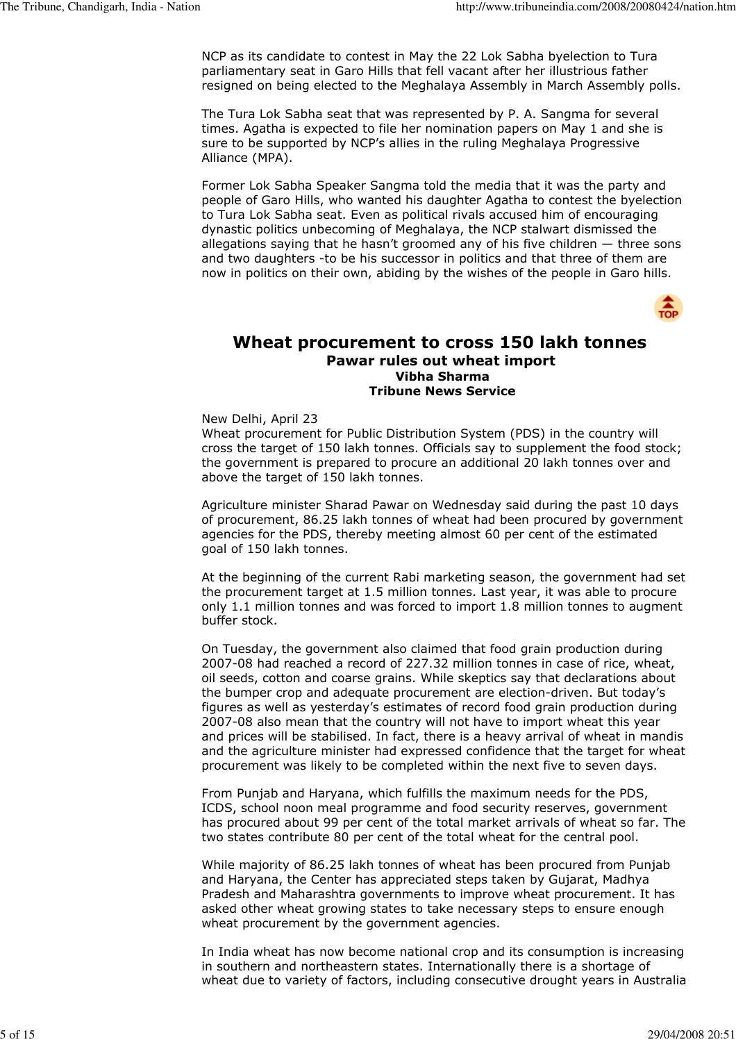NCP as its candidate to contest in May the 22 Lok Sabha byelection to Tura parliamentary seat in Garo Hills that fell vacant after her illustrious father resigned on being elected to the Meghalaya Assembly in March Assembly polls.

The Tura Lok Sabha seat that was represented by P. A. Sangma for several times. Agatha is expected to file her nomination papers on May 1 and she is sure to be supported by NCP's allies in the ruling Meghalaya Progressive Alliance (MPA).

Former Lok Sabha Speaker Sangma told the media that it was the party and people of Garo Hills, who wanted his daughter Agatha to contest the byelection to Tura Lok Sabha seat. Even as political rivals accused him of encouraging dynastic politics unbecoming of Meghalaya, the NCP stalwart dismissed the allegations saying that he hasn't groomed any of his five children — three sons and two daughters -to be his successor in politics and that three of them are now in politics on their own, abiding by the wishes of the people in Garo hills.



## Wheat procurement to cross 150 lakh tonnes Pawar rules out wheat import Vibha Sharma Tribune News Service

New Delhi, April 23

Wheat procurement for Public Distribution System (PDS) in the country will cross the target of 150 lakh tonnes. Officials say to supplement the food stock; the government is prepared to procure an additional 20 lakh tonnes over and above the target of 150 lakh tonnes.

Agriculture minister Sharad Pawar on Wednesday said during the past 10 days of procurement, 86.25 lakh tonnes of wheat had been procured by government agencies for the PDS, thereby meeting almost 60 per cent of the estimated goal of 150 lakh tonnes.

At the beginning of the current Rabi marketing season, the government had set the procurement target at 1.5 million tonnes. Last year, it was able to procure only 1.1 million tonnes and was forced to import 1.8 million tonnes to augment buffer stock.

On Tuesday, the government also claimed that food grain production during 2007-08 had reached a record of 227.32 million tonnes in case of rice, wheat, oil seeds, cotton and coarse grains. While skeptics say that declarations about the bumper crop and adequate procurement are election-driven. But today's figures as well as yesterday's estimates of record food grain production during 2007-08 also mean that the country will not have to import wheat this year and prices will be stabilised. In fact, there is a heavy arrival of wheat in mandis and the agriculture minister had expressed confidence that the target for wheat procurement was likely to be completed within the next five to seven days.

From Punjab and Haryana, which fulfills the maximum needs for the PDS, ICDS, school noon meal programme and food security reserves, government has procured about 99 per cent of the total market arrivals of wheat so far. The two states contribute 80 per cent of the total wheat for the central pool.

While majority of 86.25 lakh tonnes of wheat has been procured from Punjab and Haryana, the Center has appreciated steps taken by Gujarat, Madhya Pradesh and Maharashtra governments to improve wheat procurement. It has asked other wheat growing states to take necessary steps to ensure enough wheat procurement by the government agencies.

In India wheat has now become national crop and its consumption is increasing in southern and northeastern states. Internationally there is a shortage of wheat due to variety of factors, including consecutive drought years in Australia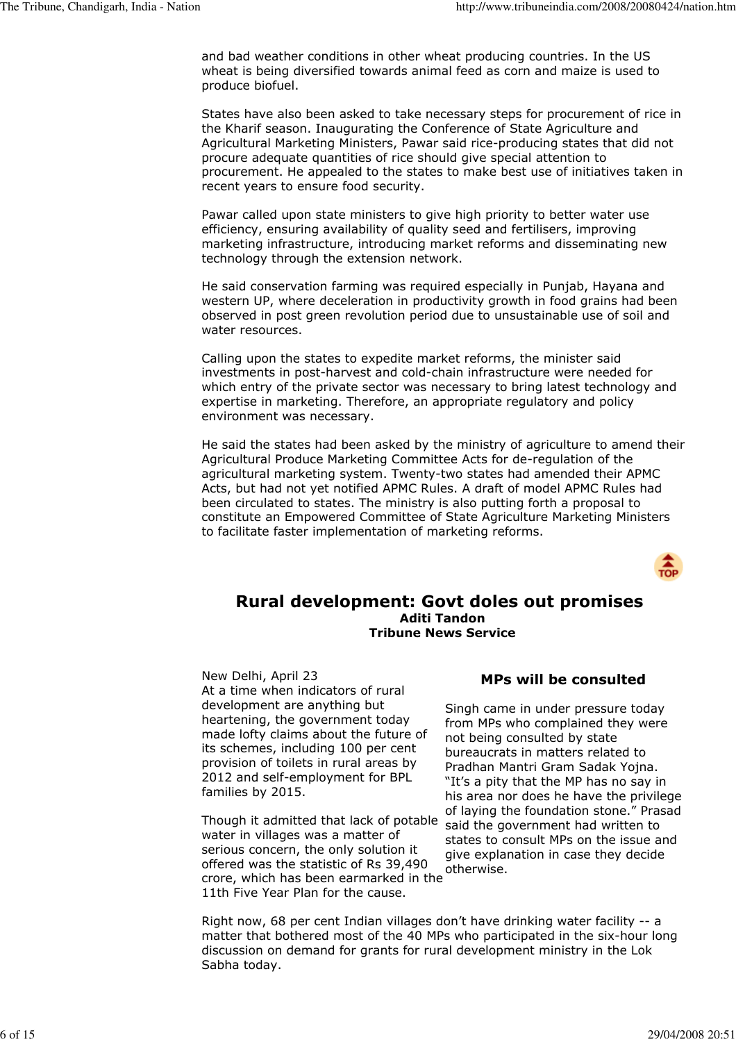and bad weather conditions in other wheat producing countries. In the US wheat is being diversified towards animal feed as corn and maize is used to produce biofuel.

States have also been asked to take necessary steps for procurement of rice in the Kharif season. Inaugurating the Conference of State Agriculture and Agricultural Marketing Ministers, Pawar said rice-producing states that did not procure adequate quantities of rice should give special attention to procurement. He appealed to the states to make best use of initiatives taken in recent years to ensure food security.

Pawar called upon state ministers to give high priority to better water use efficiency, ensuring availability of quality seed and fertilisers, improving marketing infrastructure, introducing market reforms and disseminating new technology through the extension network.

He said conservation farming was required especially in Punjab, Hayana and western UP, where deceleration in productivity growth in food grains had been observed in post green revolution period due to unsustainable use of soil and water resources.

Calling upon the states to expedite market reforms, the minister said investments in post-harvest and cold-chain infrastructure were needed for which entry of the private sector was necessary to bring latest technology and expertise in marketing. Therefore, an appropriate regulatory and policy environment was necessary.

He said the states had been asked by the ministry of agriculture to amend their Agricultural Produce Marketing Committee Acts for de-regulation of the agricultural marketing system. Twenty-two states had amended their APMC Acts, but had not yet notified APMC Rules. A draft of model APMC Rules had been circulated to states. The ministry is also putting forth a proposal to constitute an Empowered Committee of State Agriculture Marketing Ministers to facilitate faster implementation of marketing reforms.



## Rural development: Govt doles out promises Aditi Tandon Tribune News Service

New Delhi, April 23 At a time when indicators of rural development are anything but heartening, the government today made lofty claims about the future of its schemes, including 100 per cent provision of toilets in rural areas by 2012 and self-employment for BPL families by 2015.

Though it admitted that lack of potable water in villages was a matter of serious concern, the only solution it offered was the statistic of Rs 39,490 crore, which has been earmarked in the 11th Five Year Plan for the cause.

## MPs will be consulted

Singh came in under pressure today from MPs who complained they were not being consulted by state bureaucrats in matters related to Pradhan Mantri Gram Sadak Yojna. "It's a pity that the MP has no say in his area nor does he have the privilege of laying the foundation stone." Prasad said the government had written to states to consult MPs on the issue and give explanation in case they decide otherwise.

Right now, 68 per cent Indian villages don't have drinking water facility -- a matter that bothered most of the 40 MPs who participated in the six-hour long discussion on demand for grants for rural development ministry in the Lok Sabha today.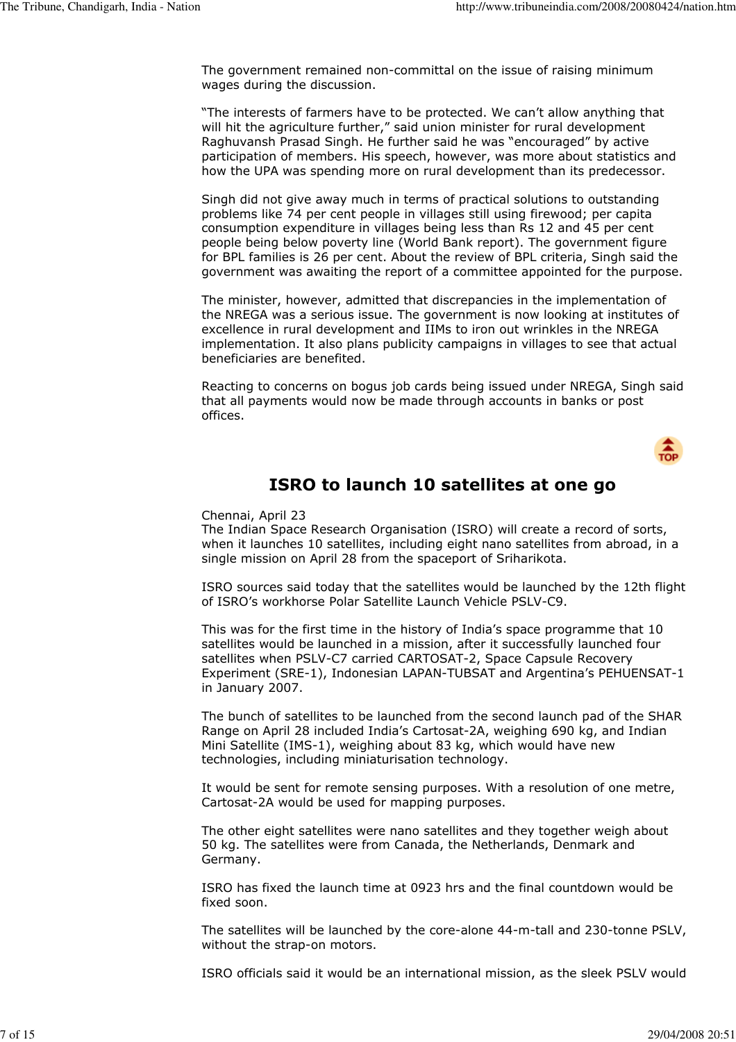The government remained non-committal on the issue of raising minimum wages during the discussion.

"The interests of farmers have to be protected. We can't allow anything that will hit the agriculture further," said union minister for rural development Raghuvansh Prasad Singh. He further said he was "encouraged" by active participation of members. His speech, however, was more about statistics and how the UPA was spending more on rural development than its predecessor.

Singh did not give away much in terms of practical solutions to outstanding problems like 74 per cent people in villages still using firewood; per capita consumption expenditure in villages being less than Rs 12 and 45 per cent people being below poverty line (World Bank report). The government figure for BPL families is 26 per cent. About the review of BPL criteria, Singh said the government was awaiting the report of a committee appointed for the purpose.

The minister, however, admitted that discrepancies in the implementation of the NREGA was a serious issue. The government is now looking at institutes of excellence in rural development and IIMs to iron out wrinkles in the NREGA implementation. It also plans publicity campaigns in villages to see that actual beneficiaries are benefited.

Reacting to concerns on bogus job cards being issued under NREGA, Singh said that all payments would now be made through accounts in banks or post offices.



## ISRO to launch 10 satellites at one go

Chennai, April 23

The Indian Space Research Organisation (ISRO) will create a record of sorts, when it launches 10 satellites, including eight nano satellites from abroad, in a single mission on April 28 from the spaceport of Sriharikota.

ISRO sources said today that the satellites would be launched by the 12th flight of ISRO's workhorse Polar Satellite Launch Vehicle PSLV-C9.

This was for the first time in the history of India's space programme that 10 satellites would be launched in a mission, after it successfully launched four satellites when PSLV-C7 carried CARTOSAT-2, Space Capsule Recovery Experiment (SRE-1), Indonesian LAPAN-TUBSAT and Argentina's PEHUENSAT-1 in January 2007.

The bunch of satellites to be launched from the second launch pad of the SHAR Range on April 28 included India's Cartosat-2A, weighing 690 kg, and Indian Mini Satellite (IMS-1), weighing about 83 kg, which would have new technologies, including miniaturisation technology.

It would be sent for remote sensing purposes. With a resolution of one metre, Cartosat-2A would be used for mapping purposes.

The other eight satellites were nano satellites and they together weigh about 50 kg. The satellites were from Canada, the Netherlands, Denmark and Germany.

ISRO has fixed the launch time at 0923 hrs and the final countdown would be fixed soon.

The satellites will be launched by the core-alone 44-m-tall and 230-tonne PSLV, without the strap-on motors.

ISRO officials said it would be an international mission, as the sleek PSLV would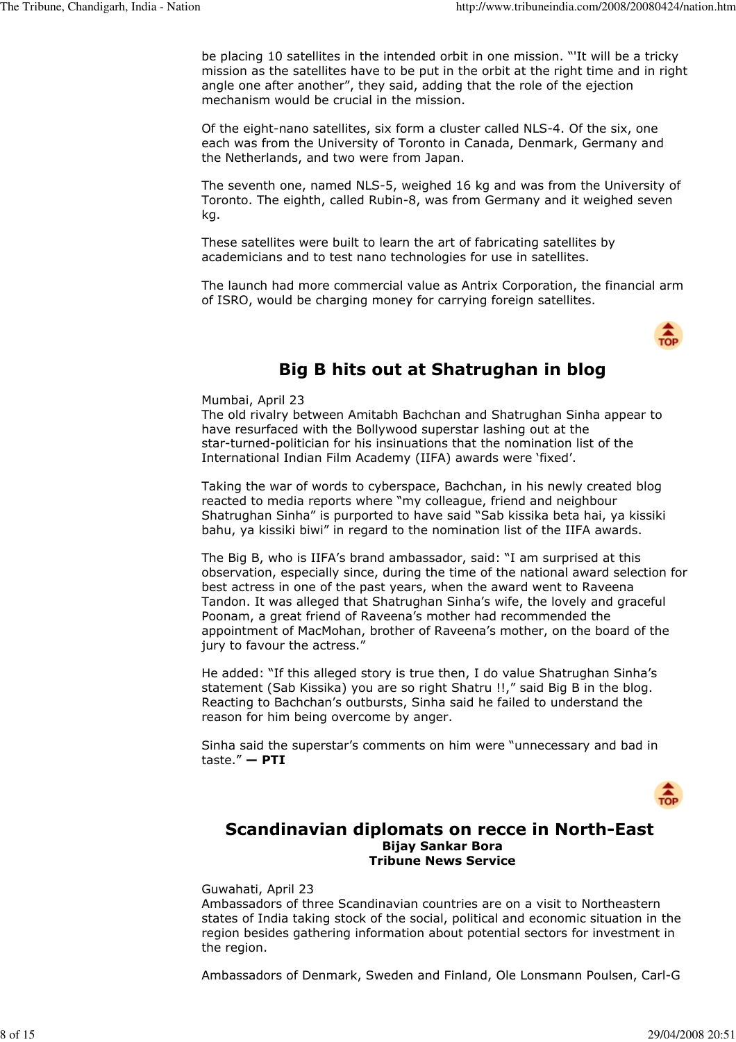be placing 10 satellites in the intended orbit in one mission. "'It will be a tricky mission as the satellites have to be put in the orbit at the right time and in right angle one after another", they said, adding that the role of the ejection mechanism would be crucial in the mission.

Of the eight-nano satellites, six form a cluster called NLS-4. Of the six, one each was from the University of Toronto in Canada, Denmark, Germany and the Netherlands, and two were from Japan.

The seventh one, named NLS-5, weighed 16 kg and was from the University of Toronto. The eighth, called Rubin-8, was from Germany and it weighed seven kg.

These satellites were built to learn the art of fabricating satellites by academicians and to test nano technologies for use in satellites.

The launch had more commercial value as Antrix Corporation, the financial arm of ISRO, would be charging money for carrying foreign satellites.



# Big B hits out at Shatrughan in blog

Mumbai, April 23

The old rivalry between Amitabh Bachchan and Shatrughan Sinha appear to have resurfaced with the Bollywood superstar lashing out at the star-turned-politician for his insinuations that the nomination list of the International Indian Film Academy (IIFA) awards were 'fixed'.

Taking the war of words to cyberspace, Bachchan, in his newly created blog reacted to media reports where "my colleague, friend and neighbour Shatrughan Sinha" is purported to have said "Sab kissika beta hai, ya kissiki bahu, ya kissiki biwi" in regard to the nomination list of the IIFA awards.

The Big B, who is IIFA's brand ambassador, said: "I am surprised at this observation, especially since, during the time of the national award selection for best actress in one of the past years, when the award went to Raveena Tandon. It was alleged that Shatrughan Sinha's wife, the lovely and graceful Poonam, a great friend of Raveena's mother had recommended the appointment of MacMohan, brother of Raveena's mother, on the board of the jury to favour the actress."

He added: "If this alleged story is true then, I do value Shatrughan Sinha's statement (Sab Kissika) you are so right Shatru !!," said Big B in the blog. Reacting to Bachchan's outbursts, Sinha said he failed to understand the reason for him being overcome by anger.

Sinha said the superstar's comments on him were "unnecessary and bad in taste."  $-$  PTI



## Scandinavian diplomats on recce in North-East Bijay Sankar Bora Tribune News Service

Guwahati, April 23

Ambassadors of three Scandinavian countries are on a visit to Northeastern states of India taking stock of the social, political and economic situation in the region besides gathering information about potential sectors for investment in the region.

Ambassadors of Denmark, Sweden and Finland, Ole Lonsmann Poulsen, Carl-G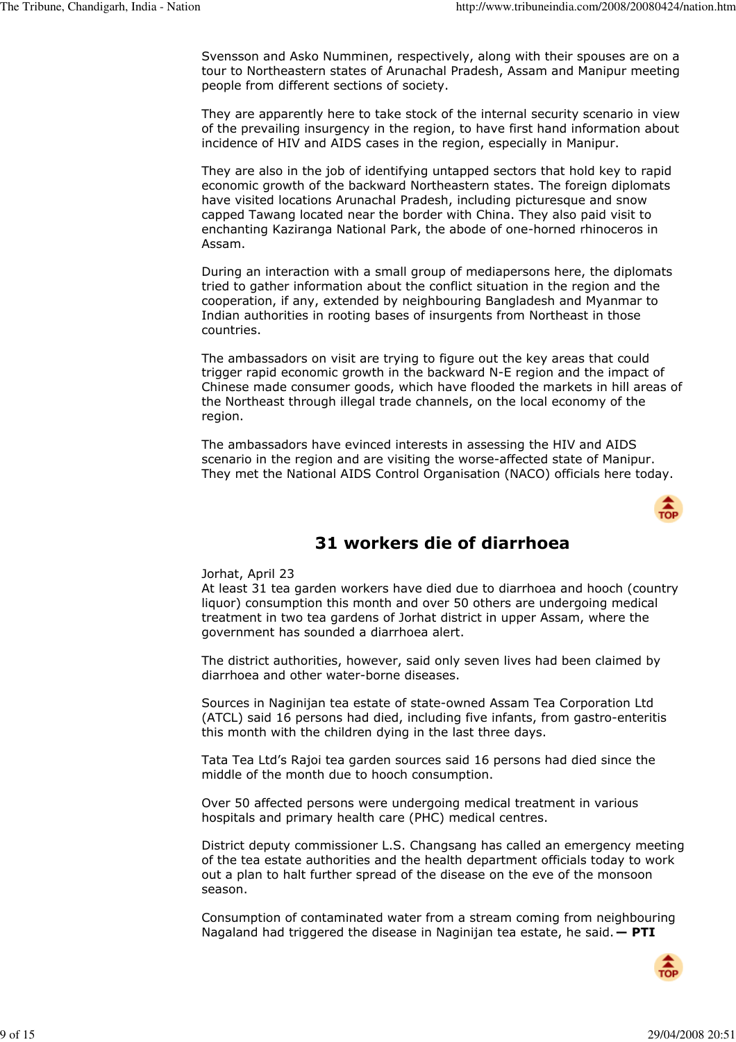Svensson and Asko Numminen, respectively, along with their spouses are on a tour to Northeastern states of Arunachal Pradesh, Assam and Manipur meeting people from different sections of society.

They are apparently here to take stock of the internal security scenario in view of the prevailing insurgency in the region, to have first hand information about incidence of HIV and AIDS cases in the region, especially in Manipur.

They are also in the job of identifying untapped sectors that hold key to rapid economic growth of the backward Northeastern states. The foreign diplomats have visited locations Arunachal Pradesh, including picturesque and snow capped Tawang located near the border with China. They also paid visit to enchanting Kaziranga National Park, the abode of one-horned rhinoceros in Assam.

During an interaction with a small group of mediapersons here, the diplomats tried to gather information about the conflict situation in the region and the cooperation, if any, extended by neighbouring Bangladesh and Myanmar to Indian authorities in rooting bases of insurgents from Northeast in those countries.

The ambassadors on visit are trying to figure out the key areas that could trigger rapid economic growth in the backward N-E region and the impact of Chinese made consumer goods, which have flooded the markets in hill areas of the Northeast through illegal trade channels, on the local economy of the region.

The ambassadors have evinced interests in assessing the HIV and AIDS scenario in the region and are visiting the worse-affected state of Manipur. They met the National AIDS Control Organisation (NACO) officials here today.



# 31 workers die of diarrhoea

### Jorhat, April 23

At least 31 tea garden workers have died due to diarrhoea and hooch (country liquor) consumption this month and over 50 others are undergoing medical treatment in two tea gardens of Jorhat district in upper Assam, where the government has sounded a diarrhoea alert.

The district authorities, however, said only seven lives had been claimed by diarrhoea and other water-borne diseases.

Sources in Naginijan tea estate of state-owned Assam Tea Corporation Ltd (ATCL) said 16 persons had died, including five infants, from gastro-enteritis this month with the children dying in the last three days.

Tata Tea Ltd's Rajoi tea garden sources said 16 persons had died since the middle of the month due to hooch consumption.

Over 50 affected persons were undergoing medical treatment in various hospitals and primary health care (PHC) medical centres.

District deputy commissioner L.S. Changsang has called an emergency meeting of the tea estate authorities and the health department officials today to work out a plan to halt further spread of the disease on the eve of the monsoon season.

Consumption of contaminated water from a stream coming from neighbouring Nagaland had triggered the disease in Naginijan tea estate, he said.  $-$  PTI

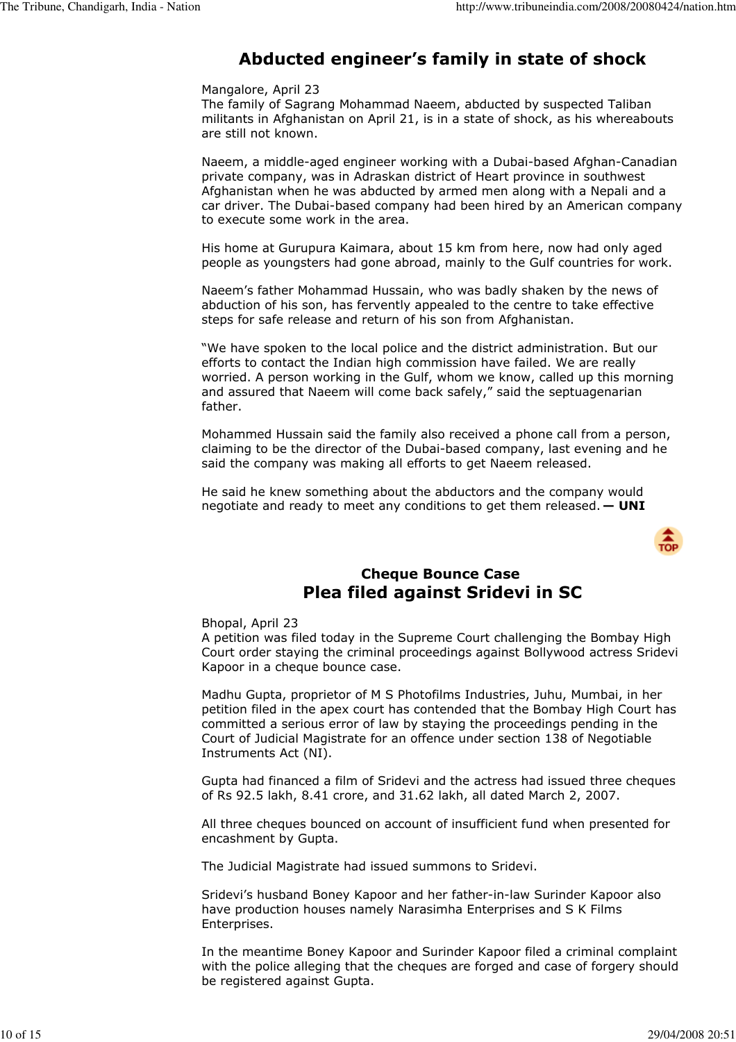# Abducted engineer's family in state of shock

### Mangalore, April 23

The family of Sagrang Mohammad Naeem, abducted by suspected Taliban militants in Afghanistan on April 21, is in a state of shock, as his whereabouts are still not known.

Naeem, a middle-aged engineer working with a Dubai-based Afghan-Canadian private company, was in Adraskan district of Heart province in southwest Afghanistan when he was abducted by armed men along with a Nepali and a car driver. The Dubai-based company had been hired by an American company to execute some work in the area.

His home at Gurupura Kaimara, about 15 km from here, now had only aged people as youngsters had gone abroad, mainly to the Gulf countries for work.

Naeem's father Mohammad Hussain, who was badly shaken by the news of abduction of his son, has fervently appealed to the centre to take effective steps for safe release and return of his son from Afghanistan.

"We have spoken to the local police and the district administration. But our efforts to contact the Indian high commission have failed. We are really worried. A person working in the Gulf, whom we know, called up this morning and assured that Naeem will come back safely," said the septuagenarian father.

Mohammed Hussain said the family also received a phone call from a person, claiming to be the director of the Dubai-based company, last evening and he said the company was making all efforts to get Naeem released.

He said he knew something about the abductors and the company would negotiate and ready to meet any conditions to get them released.  $-$  UNI



## Cheque Bounce Case Plea filed against Sridevi in SC

### Bhopal, April 23

A petition was filed today in the Supreme Court challenging the Bombay High Court order staying the criminal proceedings against Bollywood actress Sridevi Kapoor in a cheque bounce case.

Madhu Gupta, proprietor of M S Photofilms Industries, Juhu, Mumbai, in her petition filed in the apex court has contended that the Bombay High Court has committed a serious error of law by staying the proceedings pending in the Court of Judicial Magistrate for an offence under section 138 of Negotiable Instruments Act (NI).

Gupta had financed a film of Sridevi and the actress had issued three cheques of Rs 92.5 lakh, 8.41 crore, and 31.62 lakh, all dated March 2, 2007.

All three cheques bounced on account of insufficient fund when presented for encashment by Gupta.

The Judicial Magistrate had issued summons to Sridevi.

Sridevi's husband Boney Kapoor and her father-in-law Surinder Kapoor also have production houses namely Narasimha Enterprises and S K Films Enterprises.

In the meantime Boney Kapoor and Surinder Kapoor filed a criminal complaint with the police alleging that the cheques are forged and case of forgery should be registered against Gupta.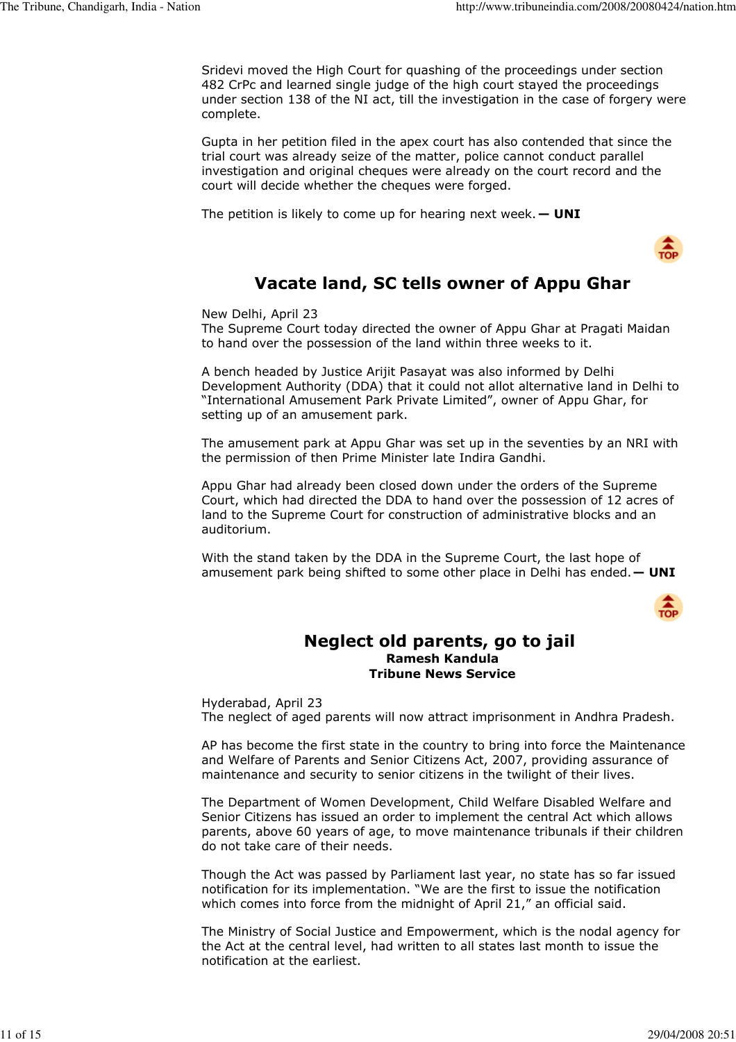Sridevi moved the High Court for quashing of the proceedings under section 482 CrPc and learned single judge of the high court stayed the proceedings under section 138 of the NI act, till the investigation in the case of forgery were complete.

Gupta in her petition filed in the apex court has also contended that since the trial court was already seize of the matter, police cannot conduct parallel investigation and original cheques were already on the court record and the court will decide whether the cheques were forged.

The petition is likely to come up for hearing next week.  $-$  UNI



# Vacate land, SC tells owner of Appu Ghar

New Delhi, April 23

The Supreme Court today directed the owner of Appu Ghar at Pragati Maidan to hand over the possession of the land within three weeks to it.

A bench headed by Justice Arijit Pasayat was also informed by Delhi Development Authority (DDA) that it could not allot alternative land in Delhi to "International Amusement Park Private Limited", owner of Appu Ghar, for setting up of an amusement park.

The amusement park at Appu Ghar was set up in the seventies by an NRI with the permission of then Prime Minister late Indira Gandhi.

Appu Ghar had already been closed down under the orders of the Supreme Court, which had directed the DDA to hand over the possession of 12 acres of land to the Supreme Court for construction of administrative blocks and an auditorium.

With the stand taken by the DDA in the Supreme Court, the last hope of amusement park being shifted to some other place in Delhi has ended.  $-$  UNI



### Neglect old parents, go to jail Ramesh Kandula Tribune News Service

Hyderabad, April 23 The neglect of aged parents will now attract imprisonment in Andhra Pradesh.

AP has become the first state in the country to bring into force the Maintenance and Welfare of Parents and Senior Citizens Act, 2007, providing assurance of maintenance and security to senior citizens in the twilight of their lives.

The Department of Women Development, Child Welfare Disabled Welfare and Senior Citizens has issued an order to implement the central Act which allows parents, above 60 years of age, to move maintenance tribunals if their children do not take care of their needs.

Though the Act was passed by Parliament last year, no state has so far issued notification for its implementation. "We are the first to issue the notification which comes into force from the midnight of April 21," an official said.

The Ministry of Social Justice and Empowerment, which is the nodal agency for the Act at the central level, had written to all states last month to issue the notification at the earliest.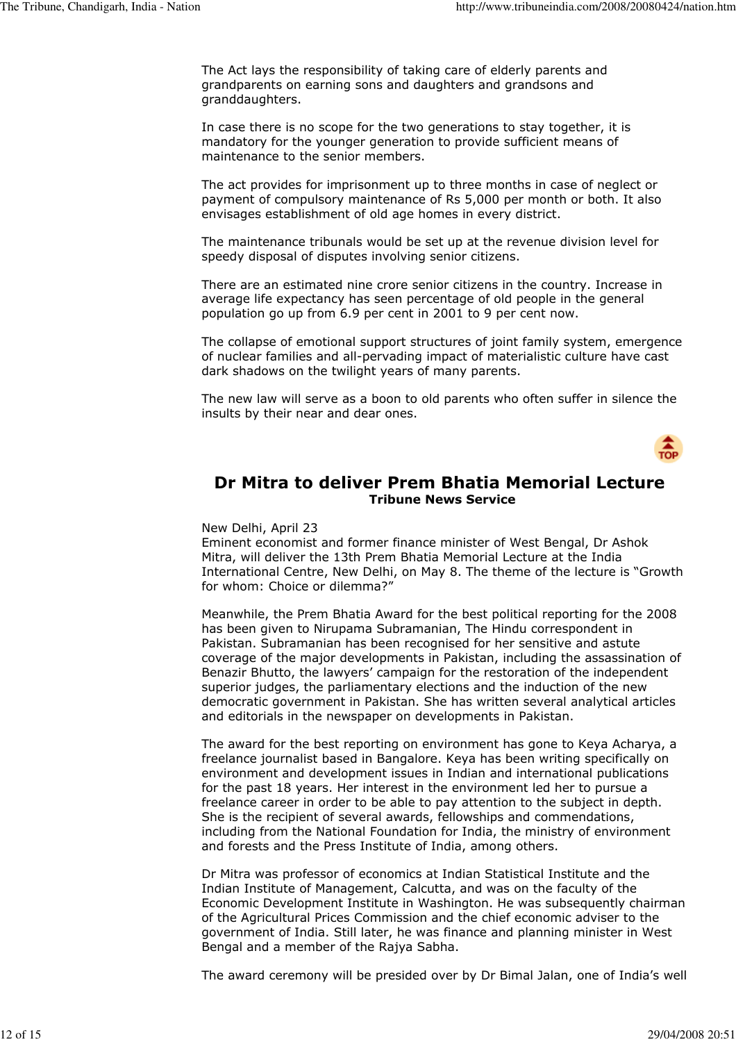The Act lays the responsibility of taking care of elderly parents and grandparents on earning sons and daughters and grandsons and granddaughters.

In case there is no scope for the two generations to stay together, it is mandatory for the younger generation to provide sufficient means of maintenance to the senior members.

The act provides for imprisonment up to three months in case of neglect or payment of compulsory maintenance of Rs 5,000 per month or both. It also envisages establishment of old age homes in every district.

The maintenance tribunals would be set up at the revenue division level for speedy disposal of disputes involving senior citizens.

There are an estimated nine crore senior citizens in the country. Increase in average life expectancy has seen percentage of old people in the general population go up from 6.9 per cent in 2001 to 9 per cent now.

The collapse of emotional support structures of joint family system, emergence of nuclear families and all-pervading impact of materialistic culture have cast dark shadows on the twilight years of many parents.

The new law will serve as a boon to old parents who often suffer in silence the insults by their near and dear ones.



## Dr Mitra to deliver Prem Bhatia Memorial Lecture Tribune News Service

### New Delhi, April 23

Eminent economist and former finance minister of West Bengal, Dr Ashok Mitra, will deliver the 13th Prem Bhatia Memorial Lecture at the India International Centre, New Delhi, on May 8. The theme of the lecture is "Growth for whom: Choice or dilemma?"

Meanwhile, the Prem Bhatia Award for the best political reporting for the 2008 has been given to Nirupama Subramanian, The Hindu correspondent in Pakistan. Subramanian has been recognised for her sensitive and astute coverage of the major developments in Pakistan, including the assassination of Benazir Bhutto, the lawyers' campaign for the restoration of the independent superior judges, the parliamentary elections and the induction of the new democratic government in Pakistan. She has written several analytical articles and editorials in the newspaper on developments in Pakistan.

The award for the best reporting on environment has gone to Keya Acharya, a freelance journalist based in Bangalore. Keya has been writing specifically on environment and development issues in Indian and international publications for the past 18 years. Her interest in the environment led her to pursue a freelance career in order to be able to pay attention to the subject in depth. She is the recipient of several awards, fellowships and commendations, including from the National Foundation for India, the ministry of environment and forests and the Press Institute of India, among others.

Dr Mitra was professor of economics at Indian Statistical Institute and the Indian Institute of Management, Calcutta, and was on the faculty of the Economic Development Institute in Washington. He was subsequently chairman of the Agricultural Prices Commission and the chief economic adviser to the government of India. Still later, he was finance and planning minister in West Bengal and a member of the Rajya Sabha.

The award ceremony will be presided over by Dr Bimal Jalan, one of India's well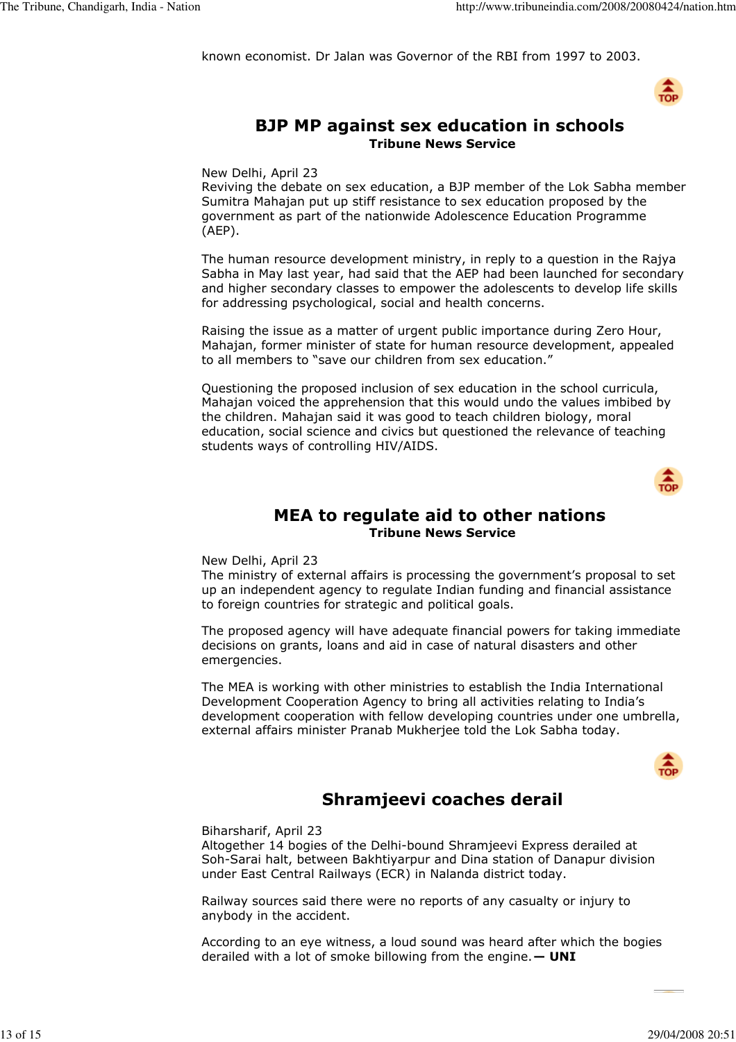known economist. Dr Jalan was Governor of the RBI from 1997 to 2003.



## BJP MP against sex education in schools Tribune News Service

New Delhi, April 23

Reviving the debate on sex education, a BJP member of the Lok Sabha member Sumitra Mahajan put up stiff resistance to sex education proposed by the government as part of the nationwide Adolescence Education Programme (AEP).

The human resource development ministry, in reply to a question in the Rajya Sabha in May last year, had said that the AEP had been launched for secondary and higher secondary classes to empower the adolescents to develop life skills for addressing psychological, social and health concerns.

Raising the issue as a matter of urgent public importance during Zero Hour, Mahajan, former minister of state for human resource development, appealed to all members to "save our children from sex education."

Questioning the proposed inclusion of sex education in the school curricula, Mahajan voiced the apprehension that this would undo the values imbibed by the children. Mahajan said it was good to teach children biology, moral education, social science and civics but questioned the relevance of teaching students ways of controlling HIV/AIDS.



## MEA to regulate aid to other nations Tribune News Service

New Delhi, April 23

The ministry of external affairs is processing the government's proposal to set up an independent agency to regulate Indian funding and financial assistance to foreign countries for strategic and political goals.

The proposed agency will have adequate financial powers for taking immediate decisions on grants, loans and aid in case of natural disasters and other emergencies.

The MEA is working with other ministries to establish the India International Development Cooperation Agency to bring all activities relating to India's development cooperation with fellow developing countries under one umbrella, external affairs minister Pranab Mukherjee told the Lok Sabha today.



# Shramjeevi coaches derail

Biharsharif, April 23

Altogether 14 bogies of the Delhi-bound Shramjeevi Express derailed at Soh-Sarai halt, between Bakhtiyarpur and Dina station of Danapur division under East Central Railways (ECR) in Nalanda district today.

Railway sources said there were no reports of any casualty or injury to anybody in the accident.

According to an eye witness, a loud sound was heard after which the bogies derailed with a lot of smoke billowing from the engine.  $-$  UNI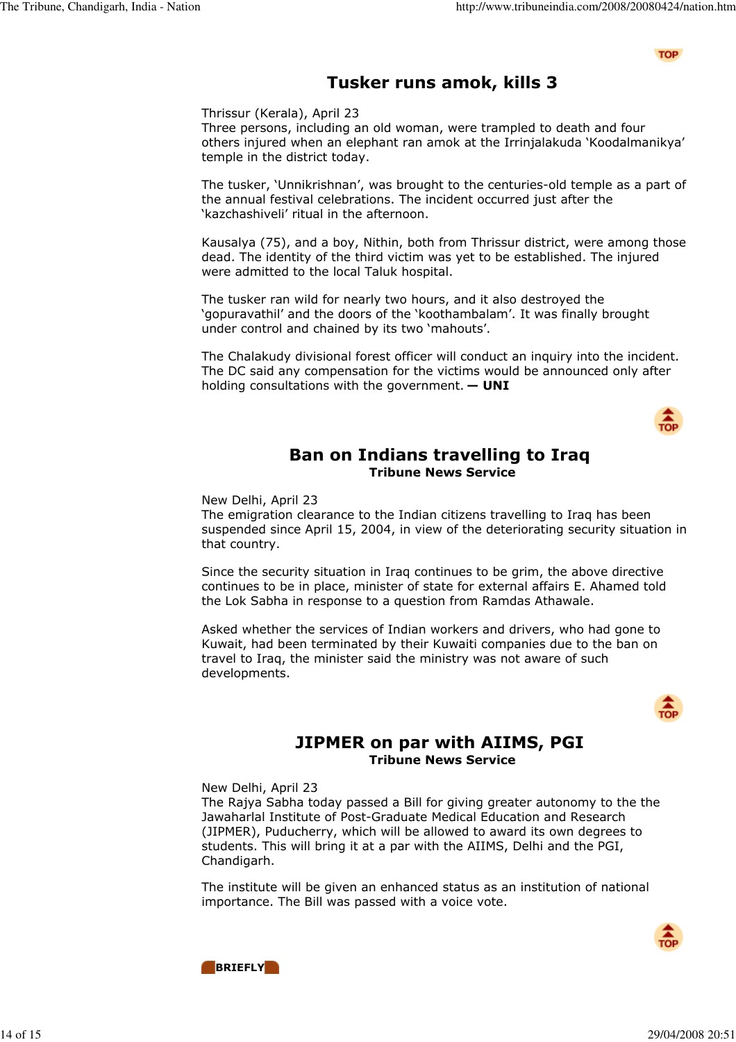**TOP** 

# Tusker runs amok, kills 3

Thrissur (Kerala), April 23

Three persons, including an old woman, were trampled to death and four others injured when an elephant ran amok at the Irrinjalakuda 'Koodalmanikya' temple in the district today.

The tusker, 'Unnikrishnan', was brought to the centuries-old temple as a part of the annual festival celebrations. The incident occurred just after the 'kazchashiveli' ritual in the afternoon.

Kausalya (75), and a boy, Nithin, both from Thrissur district, were among those dead. The identity of the third victim was yet to be established. The injured were admitted to the local Taluk hospital.

The tusker ran wild for nearly two hours, and it also destroyed the 'gopuravathil' and the doors of the 'koothambalam'. It was finally brought under control and chained by its two 'mahouts'.

The Chalakudy divisional forest officer will conduct an inquiry into the incident. The DC said any compensation for the victims would be announced only after holding consultations with the government.  $-$  UNI



## Ban on Indians travelling to Iraq Tribune News Service

New Delhi, April 23

The emigration clearance to the Indian citizens travelling to Iraq has been suspended since April 15, 2004, in view of the deteriorating security situation in that country.

Since the security situation in Iraq continues to be grim, the above directive continues to be in place, minister of state for external affairs E. Ahamed told the Lok Sabha in response to a question from Ramdas Athawale.

Asked whether the services of Indian workers and drivers, who had gone to Kuwait, had been terminated by their Kuwaiti companies due to the ban on travel to Iraq, the minister said the ministry was not aware of such developments.



## JIPMER on par with AIIMS, PGI Tribune News Service

New Delhi, April 23

The Rajya Sabha today passed a Bill for giving greater autonomy to the the Jawaharlal Institute of Post-Graduate Medical Education and Research (JIPMER), Puducherry, which will be allowed to award its own degrees to students. This will bring it at a par with the AIIMS, Delhi and the PGI, Chandigarh.

The institute will be given an enhanced status as an institution of national importance. The Bill was passed with a voice vote.